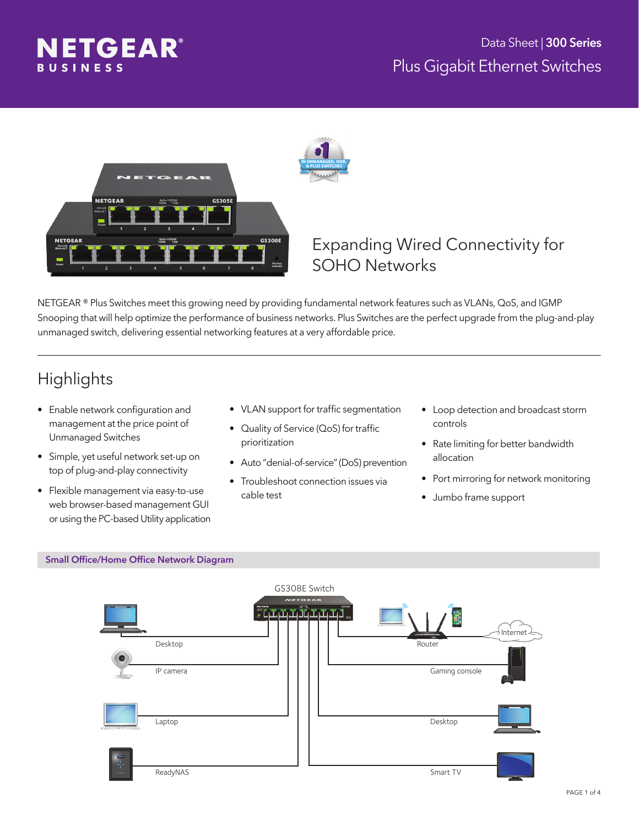





### Expanding Wired Connectivity for SOHO Networks

NETGEAR ® Plus Switches meet this growing need by providing fundamental network features such as VLANs, QoS, and IGMP Snooping that will help optimize the performance of business networks. Plus Switches are the perfect upgrade from the plug-and-play unmanaged switch, delivering essential networking features at a very affordable price.

# **Highlights**

- Enable network configuration and management at the price point of Unmanaged Switches
- • Simple, yet useful network set-up on top of plug-and-play connectivity
- • Flexible management via easy-to-use web browser-based management GUI or using the PC-based Utility application
- • VLAN support for traffic segmentation
- • Quality of Service (QoS) for traffic prioritization
- Auto "denial-of-service" (DoS) prevention
- **•** Troubleshoot connection issues via cable test
- Loop detection and broadcast storm controls
- Rate limiting for better bandwidth allocation
- • Port mirroring for network monitoring
- • Jumbo frame support

#### Small Office/Home Office Network Diagram

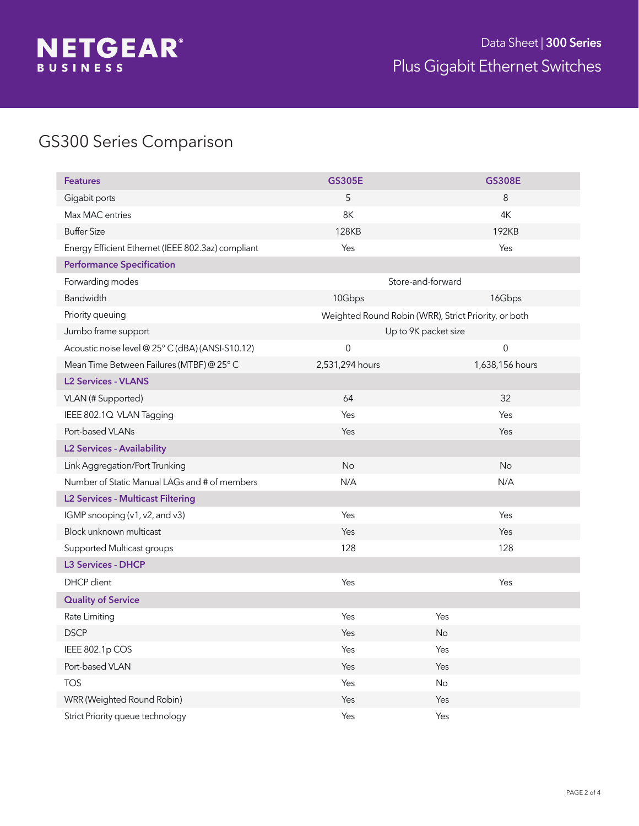

# GS300 Series Comparison

| <b>Features</b>                                    | <b>GS305E</b>                                        | <b>GS308E</b>    |  |
|----------------------------------------------------|------------------------------------------------------|------------------|--|
| Gigabit ports                                      | 5                                                    | 8                |  |
| Max MAC entries                                    | 8K                                                   | 4K               |  |
| <b>Buffer Size</b>                                 | <b>128KB</b>                                         | 192KB            |  |
| Energy Efficient Ethernet (IEEE 802.3az) compliant | Yes                                                  | Yes              |  |
| <b>Performance Specification</b>                   |                                                      |                  |  |
| Forwarding modes                                   | Store-and-forward                                    |                  |  |
| <b>Bandwidth</b>                                   | 10Gbps                                               | 16Gbps           |  |
| Priority queuing                                   | Weighted Round Robin (WRR), Strict Priority, or both |                  |  |
| Jumbo frame support                                | Up to 9K packet size                                 |                  |  |
| Acoustic noise level @ 25° C (dBA) (ANSI-S10.12)   | $\mbox{O}$                                           | $\boldsymbol{0}$ |  |
| Mean Time Between Failures (MTBF) @ 25° C          | 2,531,294 hours                                      | 1,638,156 hours  |  |
| <b>L2 Services - VLANS</b>                         |                                                      |                  |  |
| VLAN (# Supported)                                 | 64                                                   | 32               |  |
| IEEE 802.1Q VLAN Tagging                           | Yes                                                  | Yes              |  |
| Port-based VLANs                                   | Yes                                                  | Yes              |  |
| <b>L2 Services - Availability</b>                  |                                                      |                  |  |
| Link Aggregation/Port Trunking                     | No                                                   | No               |  |
| Number of Static Manual LAGs and # of members      | N/A                                                  | N/A              |  |
| <b>L2 Services - Multicast Filtering</b>           |                                                      |                  |  |
| IGMP snooping (v1, v2, and v3)                     | Yes                                                  | Yes              |  |
| Block unknown multicast                            | Yes                                                  | Yes              |  |
| Supported Multicast groups                         | 128                                                  | 128              |  |
| <b>L3 Services - DHCP</b>                          |                                                      |                  |  |
| DHCP client                                        | Yes                                                  | Yes              |  |
| <b>Quality of Service</b>                          |                                                      |                  |  |
| Rate Limiting                                      | Yes                                                  | Yes              |  |
| <b>DSCP</b>                                        | Yes                                                  | <b>No</b>        |  |
| IEEE 802.1p COS                                    | Yes                                                  | Yes              |  |
| Port-based VLAN                                    | Yes                                                  | Yes              |  |
| <b>TOS</b>                                         | Yes                                                  | $\mathsf{No}$    |  |
| WRR (Weighted Round Robin)                         | Yes                                                  | Yes              |  |
| Strict Priority queue technology                   | Yes                                                  | Yes              |  |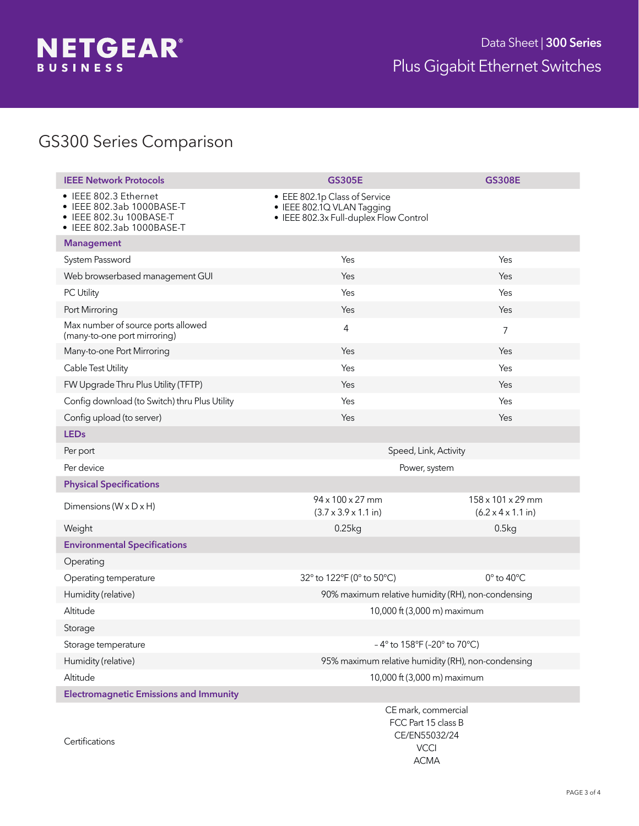

## GS300 Series Comparison

| <b>IEEE Network Protocols</b>                                                                              | <b>GS305E</b>                                                                                         | <b>GS308E</b>                                               |  |
|------------------------------------------------------------------------------------------------------------|-------------------------------------------------------------------------------------------------------|-------------------------------------------------------------|--|
| • IEEE 802.3 Ethernet<br>• IEEE 802.3ab 1000BASE-T<br>• IEEE 802.3u 100BASE-T<br>• IEEE 802.3ab 1000BASE-T | • EEE 802.1p Class of Service<br>• IEEE 802.1Q VLAN Tagging<br>• IEEE 802.3x Full-duplex Flow Control |                                                             |  |
| <b>Management</b>                                                                                          |                                                                                                       |                                                             |  |
| System Password                                                                                            | Yes                                                                                                   | Yes                                                         |  |
| Web browserbased management GUI                                                                            | Yes                                                                                                   | Yes                                                         |  |
| PC Utility                                                                                                 | Yes                                                                                                   | Yes                                                         |  |
| Port Mirroring                                                                                             | Yes                                                                                                   | Yes                                                         |  |
| Max number of source ports allowed<br>(many-to-one port mirroring)                                         | 4                                                                                                     | $\overline{7}$                                              |  |
| Many-to-one Port Mirroring                                                                                 | Yes                                                                                                   | Yes                                                         |  |
| Cable Test Utility                                                                                         | Yes                                                                                                   | Yes                                                         |  |
| FW Upgrade Thru Plus Utility (TFTP)                                                                        | Yes                                                                                                   | Yes                                                         |  |
| Config download (to Switch) thru Plus Utility                                                              | Yes                                                                                                   | Yes                                                         |  |
| Config upload (to server)                                                                                  | Yes                                                                                                   | Yes                                                         |  |
| <b>LEDs</b>                                                                                                |                                                                                                       |                                                             |  |
| Per port                                                                                                   | Speed, Link, Activity                                                                                 |                                                             |  |
| Per device                                                                                                 | Power, system                                                                                         |                                                             |  |
|                                                                                                            |                                                                                                       |                                                             |  |
| <b>Physical Specifications</b>                                                                             |                                                                                                       |                                                             |  |
| Dimensions ( $W \times D \times H$ )                                                                       | 94 x 100 x 27 mm<br>$(3.7 \times 3.9 \times 1.1 \text{ in})$                                          | 158 x 101 x 29 mm<br>$(6.2 \times 4 \times 1.1 \text{ in})$ |  |
| Weight                                                                                                     | 0.25kg                                                                                                | 0.5kg                                                       |  |
| <b>Environmental Specifications</b>                                                                        |                                                                                                       |                                                             |  |
| Operating                                                                                                  |                                                                                                       |                                                             |  |
| Operating temperature                                                                                      | 32° to 122°F (0° to 50°C)                                                                             | $0^\circ$ to $40^\circ C$                                   |  |
| Humidity (relative)                                                                                        | 90% maximum relative humidity (RH), non-condensing                                                    |                                                             |  |
| Altitude                                                                                                   | 10,000 ft (3,000 m) maximum                                                                           |                                                             |  |
| Storage                                                                                                    |                                                                                                       |                                                             |  |
| Storage temperature                                                                                        | -4° to 158°F (-20° to 70°C)                                                                           |                                                             |  |
| Humidity (relative)                                                                                        | 95% maximum relative humidity (RH), non-condensing                                                    |                                                             |  |
| Altitude                                                                                                   | 10,000 ft (3,000 m) maximum                                                                           |                                                             |  |
| <b>Electromagnetic Emissions and Immunity</b>                                                              |                                                                                                       |                                                             |  |

ACMA